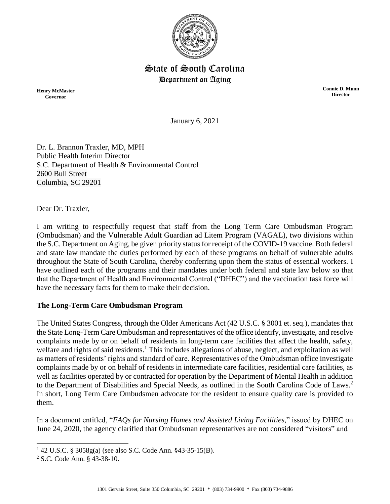

## State of South Carolina Department on Aging

**Henry McMaster Governor**

**Connie D. Munn Director**

January 6, 2021

Dr. L. Brannon Traxler, MD, MPH Public Health Interim Director S.C. Department of Health & Environmental Control 2600 Bull Street Columbia, SC 29201

Dear Dr. Traxler,

I am writing to respectfully request that staff from the Long Term Care Ombudsman Program (Ombudsman) and the Vulnerable Adult Guardian ad Litem Program (VAGAL), two divisions within the S.C. Department on Aging, be given priority status for receipt of the COVID-19 vaccine. Both federal and state law mandate the duties performed by each of these programs on behalf of vulnerable adults throughout the State of South Carolina, thereby conferring upon them the status of essential workers. I have outlined each of the programs and their mandates under both federal and state law below so that that the Department of Health and Environmental Control ("DHEC") and the vaccination task force will have the necessary facts for them to make their decision.

## **The Long-Term Care Ombudsman Program**

The United States Congress, through the Older Americans Act (42 U.S.C. § 3001 et. seq.), mandates that the State Long-Term Care Ombudsman and representatives of the office identify, investigate, and resolve complaints made by or on behalf of residents in long-term care facilities that affect the health, safety, welfare and rights of said residents.<sup>1</sup> This includes allegations of abuse, neglect, and exploitation as well as matters of residents' rights and standard of care. Representatives of the Ombudsman office investigate complaints made by or on behalf of residents in intermediate care facilities, residential care facilities, as well as facilities operated by or contracted for operation by the Department of Mental Health in addition to the Department of Disabilities and Special Needs, as outlined in the South Carolina Code of Laws.<sup>2</sup> In short, Long Term Care Ombudsmen advocate for the resident to ensure quality care is provided to them.

In a document entitled, "*FAQs for Nursing Homes and Assisted Living Facilities*," issued by DHEC on June 24, 2020, the agency clarified that Ombudsman representatives are not considered "visitors" and

l

<sup>1</sup> 42 U.S.C. § 3058g(a) (see also S.C. Code Ann. §43-35-15(B).

<sup>2</sup> S.C. Code Ann. § 43-38-10.